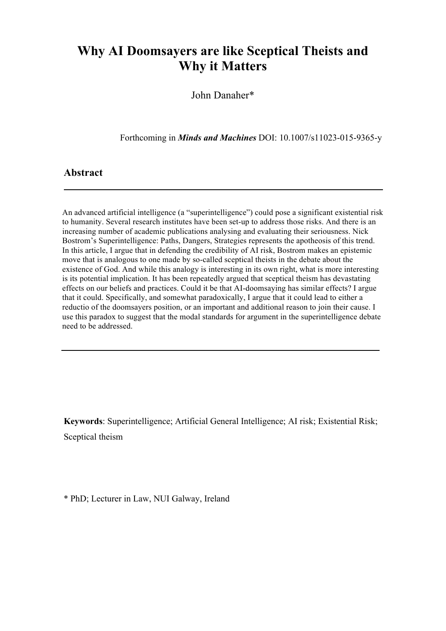# **Why AI Doomsayers are like Sceptical Theists and Why it Matters**

John Danaher\*

Forthcoming in *Minds and Machines* DOI: 10.1007/s11023-015-9365-y

#### **Abstract**

An advanced artificial intelligence (a "superintelligence") could pose a significant existential risk to humanity. Several research institutes have been set-up to address those risks. And there is an increasing number of academic publications analysing and evaluating their seriousness. Nick Bostrom's Superintelligence: Paths, Dangers, Strategies represents the apotheosis of this trend. In this article, I argue that in defending the credibility of AI risk, Bostrom makes an epistemic move that is analogous to one made by so-called sceptical theists in the debate about the existence of God. And while this analogy is interesting in its own right, what is more interesting is its potential implication. It has been repeatedly argued that sceptical theism has devastating effects on our beliefs and practices. Could it be that AI-doomsaying has similar effects? I argue that it could. Specifically, and somewhat paradoxically, I argue that it could lead to either a reductio of the doomsayers position, or an important and additional reason to join their cause. I use this paradox to suggest that the modal standards for argument in the superintelligence debate need to be addressed.

**Keywords**: Superintelligence; Artificial General Intelligence; AI risk; Existential Risk; Sceptical theism

\* PhD; Lecturer in Law, NUI Galway, Ireland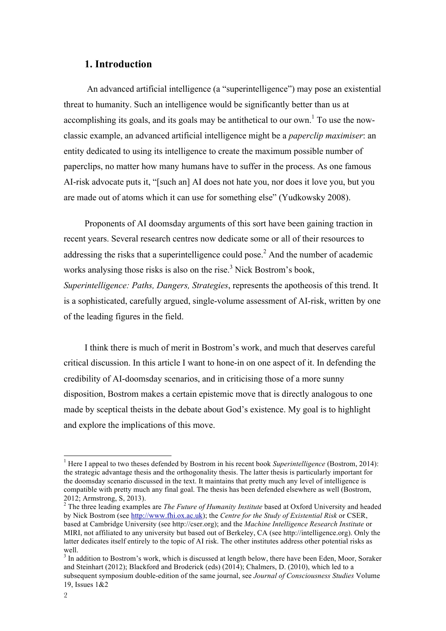### **1. Introduction**

 An advanced artificial intelligence (a "superintelligence") may pose an existential threat to humanity. Such an intelligence would be significantly better than us at accomplishing its goals, and its goals may be antithetical to our own.<sup>1</sup> To use the nowclassic example, an advanced artificial intelligence might be a *paperclip maximiser*: an entity dedicated to using its intelligence to create the maximum possible number of paperclips, no matter how many humans have to suffer in the process. As one famous AI-risk advocate puts it, "[such an] AI does not hate you, nor does it love you, but you are made out of atoms which it can use for something else" (Yudkowsky 2008).

Proponents of AI doomsday arguments of this sort have been gaining traction in recent years. Several research centres now dedicate some or all of their resources to addressing the risks that a superintelligence could pose.<sup>2</sup> And the number of academic works analysing those risks is also on the rise.<sup>3</sup> Nick Bostrom's book, *Superintelligence: Paths, Dangers, Strategies*, represents the apotheosis of this trend. It is a sophisticated, carefully argued, single-volume assessment of AI-risk, written by one of the leading figures in the field.

I think there is much of merit in Bostrom's work, and much that deserves careful critical discussion. In this article I want to hone-in on one aspect of it. In defending the credibility of AI-doomsday scenarios, and in criticising those of a more sunny disposition, Bostrom makes a certain epistemic move that is directly analogous to one made by sceptical theists in the debate about God's existence. My goal is to highlight and explore the implications of this move.

<sup>&</sup>lt;sup>1</sup> Here I appeal to two theses defended by Bostrom in his recent book *Superintelligence* (Bostrom, 2014): the strategic advantage thesis and the orthogonality thesis. The latter thesis is particularly important for the doomsday scenario discussed in the text. It maintains that pretty much any level of intelligence is compatible with pretty much any final goal. The thesis has been defended elsewhere as well (Bostrom, 2012; Armstrong, S, 2013). <sup>2</sup>

<sup>&</sup>lt;sup>2</sup> The three leading examples are *The Future of Humanity Institute* based at Oxford University and headed by Nick Bostrom (see http://www.fhi.ox.ac.uk); the *Centre for the Study of Existential Risk* or CSER, based at Cambridge University (see http://cser.org); and the *Machine Intelligence Research Institute* or MIRI, not affiliated to any university but based out of Berkeley, CA (see http://intelligence.org). Only the latter dedicates itself entirely to the topic of AI risk. The other institutes address other potential risks as well.

 $3$  In addition to Bostrom's work, which is discussed at length below, there have been Eden, Moor, Soraker and Steinhart (2012); Blackford and Broderick (eds) (2014); Chalmers, D. (2010), which led to a subsequent symposium double-edition of the same journal, see *Journal of Consciousness Studies* Volume 19, Issues 1&2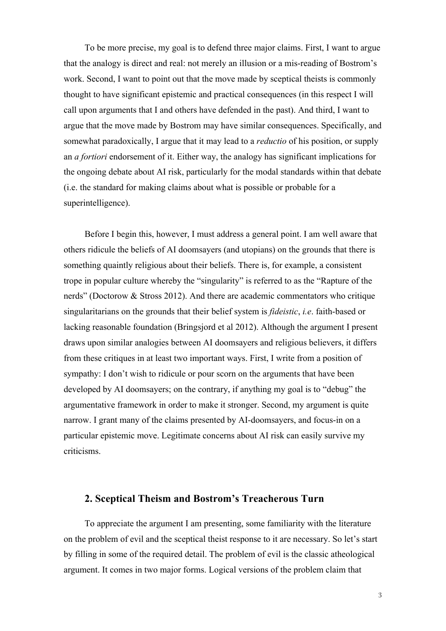To be more precise, my goal is to defend three major claims. First, I want to argue that the analogy is direct and real: not merely an illusion or a mis-reading of Bostrom's work. Second, I want to point out that the move made by sceptical theists is commonly thought to have significant epistemic and practical consequences (in this respect I will call upon arguments that I and others have defended in the past). And third, I want to argue that the move made by Bostrom may have similar consequences. Specifically, and somewhat paradoxically, I argue that it may lead to a *reductio* of his position, or supply an *a fortiori* endorsement of it. Either way, the analogy has significant implications for the ongoing debate about AI risk, particularly for the modal standards within that debate (i.e. the standard for making claims about what is possible or probable for a superintelligence).

Before I begin this, however, I must address a general point. I am well aware that others ridicule the beliefs of AI doomsayers (and utopians) on the grounds that there is something quaintly religious about their beliefs. There is, for example, a consistent trope in popular culture whereby the "singularity" is referred to as the "Rapture of the nerds" (Doctorow & Stross 2012). And there are academic commentators who critique singularitarians on the grounds that their belief system is *fideistic*, *i.e*. faith-based or lacking reasonable foundation (Bringsjord et al 2012). Although the argument I present draws upon similar analogies between AI doomsayers and religious believers, it differs from these critiques in at least two important ways. First, I write from a position of sympathy: I don't wish to ridicule or pour scorn on the arguments that have been developed by AI doomsayers; on the contrary, if anything my goal is to "debug" the argumentative framework in order to make it stronger. Second, my argument is quite narrow. I grant many of the claims presented by AI-doomsayers, and focus-in on a particular epistemic move. Legitimate concerns about AI risk can easily survive my criticisms.

#### **2. Sceptical Theism and Bostrom's Treacherous Turn**

To appreciate the argument I am presenting, some familiarity with the literature on the problem of evil and the sceptical theist response to it are necessary. So let's start by filling in some of the required detail. The problem of evil is the classic atheological argument. It comes in two major forms. Logical versions of the problem claim that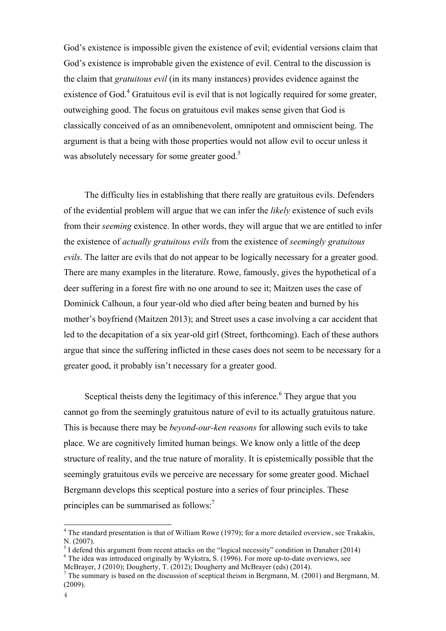God's existence is impossible given the existence of evil; evidential versions claim that God's existence is improbable given the existence of evil. Central to the discussion is the claim that *gratuitous evil* (in its many instances) provides evidence against the existence of God.<sup>4</sup> Gratuitous evil is evil that is not logically required for some greater, outweighing good. The focus on gratuitous evil makes sense given that God is classically conceived of as an omnibenevolent, omnipotent and omniscient being. The argument is that a being with those properties would not allow evil to occur unless it was absolutely necessary for some greater good.<sup>5</sup>

The difficulty lies in establishing that there really are gratuitous evils. Defenders of the evidential problem will argue that we can infer the *likely* existence of such evils from their *seeming* existence. In other words, they will argue that we are entitled to infer the existence of *actually gratuitous evils* from the existence of *seemingly gratuitous evils*. The latter are evils that do not appear to be logically necessary for a greater good. There are many examples in the literature. Rowe, famously, gives the hypothetical of a deer suffering in a forest fire with no one around to see it; Maitzen uses the case of Dominick Calhoun, a four year-old who died after being beaten and burned by his mother's boyfriend (Maitzen 2013); and Street uses a case involving a car accident that led to the decapitation of a six year-old girl (Street, forthcoming). Each of these authors argue that since the suffering inflicted in these cases does not seem to be necessary for a greater good, it probably isn't necessary for a greater good.

Sceptical theists deny the legitimacy of this inference.<sup>6</sup> They argue that you cannot go from the seemingly gratuitous nature of evil to its actually gratuitous nature. This is because there may be *beyond-our-ken reasons* for allowing such evils to take place. We are cognitively limited human beings. We know only a little of the deep structure of reality, and the true nature of morality. It is epistemically possible that the seemingly gratuitous evils we perceive are necessary for some greater good. Michael Bergmann develops this sceptical posture into a series of four principles. These principles can be summarised as follows: $<sup>7</sup>$ </sup>

<sup>&</sup>lt;sup>4</sup> The standard presentation is that of William Rowe (1979); for a more detailed overview, see Trakakis, N. (2007).

<sup>&</sup>lt;sup>5</sup> I defend this argument from recent attacks on the "logical necessity" condition in Danaher (2014)  $\frac{6}{\pi}$  The idea was introduced originally by Wylestro, S. (1006). For more un to date overwissure see  $6$  The idea was introduced originally by Wykstra, S. (1996). For more up-to-date overviews, see

McBrayer, J (2010); Dougherty, T. (2012); Dougherty and McBrayer (eds) (2014).<br><sup>7</sup> The summary is based on the discussion of sceptical theism in Bergmann, M. (2001) and Bergmann, M. (2009).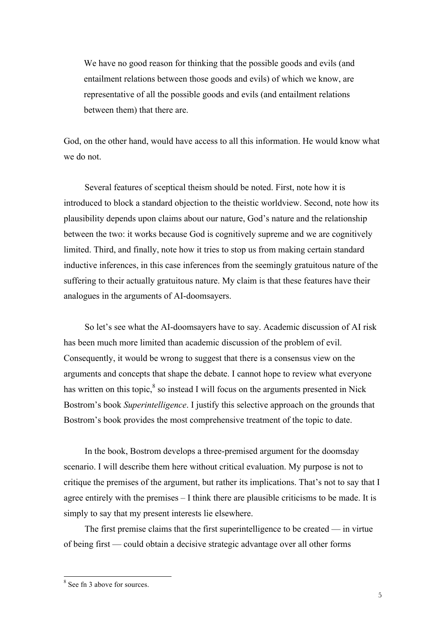We have no good reason for thinking that the possible goods and evils (and entailment relations between those goods and evils) of which we know, are representative of all the possible goods and evils (and entailment relations between them) that there are.

God, on the other hand, would have access to all this information. He would know what we do not.

Several features of sceptical theism should be noted. First, note how it is introduced to block a standard objection to the theistic worldview. Second, note how its plausibility depends upon claims about our nature, God's nature and the relationship between the two: it works because God is cognitively supreme and we are cognitively limited. Third, and finally, note how it tries to stop us from making certain standard inductive inferences, in this case inferences from the seemingly gratuitous nature of the suffering to their actually gratuitous nature. My claim is that these features have their analogues in the arguments of AI-doomsayers.

So let's see what the AI-doomsayers have to say. Academic discussion of AI risk has been much more limited than academic discussion of the problem of evil. Consequently, it would be wrong to suggest that there is a consensus view on the arguments and concepts that shape the debate. I cannot hope to review what everyone has written on this topic, ${}^{8}$  so instead I will focus on the arguments presented in Nick Bostrom's book *Superintelligence*. I justify this selective approach on the grounds that Bostrom's book provides the most comprehensive treatment of the topic to date.

In the book, Bostrom develops a three-premised argument for the doomsday scenario. I will describe them here without critical evaluation. My purpose is not to critique the premises of the argument, but rather its implications. That's not to say that I agree entirely with the premises – I think there are plausible criticisms to be made. It is simply to say that my present interests lie elsewhere.

The first premise claims that the first superintelligence to be created — in virtue of being first — could obtain a decisive strategic advantage over all other forms

<sup>&</sup>lt;sup>8</sup> See fn 3 above for sources.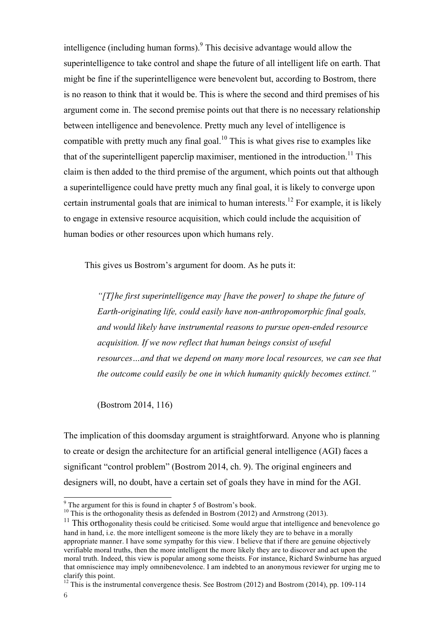intelligence (including human forms).<sup>9</sup> This decisive advantage would allow the superintelligence to take control and shape the future of all intelligent life on earth. That might be fine if the superintelligence were benevolent but, according to Bostrom, there is no reason to think that it would be. This is where the second and third premises of his argument come in. The second premise points out that there is no necessary relationship between intelligence and benevolence. Pretty much any level of intelligence is compatible with pretty much any final goal.<sup>10</sup> This is what gives rise to examples like that of the superintelligent paperclip maximiser, mentioned in the introduction.<sup>11</sup> This claim is then added to the third premise of the argument, which points out that although a superintelligence could have pretty much any final goal, it is likely to converge upon certain instrumental goals that are inimical to human interests.<sup>12</sup> For example, it is likely to engage in extensive resource acquisition, which could include the acquisition of human bodies or other resources upon which humans rely.

This gives us Bostrom's argument for doom. As he puts it:

*"[T]he first superintelligence may [have the power] to shape the future of Earth-originating life, could easily have non-anthropomorphic final goals, and would likely have instrumental reasons to pursue open-ended resource acquisition. If we now reflect that human beings consist of useful resources…and that we depend on many more local resources, we can see that the outcome could easily be one in which humanity quickly becomes extinct."*

(Bostrom 2014, 116)

The implication of this doomsday argument is straightforward. Anyone who is planning to create or design the architecture for an artificial general intelligence (AGI) faces a significant "control problem" (Bostrom 2014, ch. 9). The original engineers and designers will, no doubt, have a certain set of goals they have in mind for the AGI.

<sup>10</sup> This is the orthogonality thesis as defended in Bostrom (2012) and Armstrong (2013).

9 The argument for this is found in chapter 5 of Bostrom's book.

 $11$  This orthogonality thesis could be criticised. Some would argue that intelligence and benevolence go hand in hand, i.e. the more intelligent someone is the more likely they are to behave in a morally appropriate manner. I have some sympathy for this view. I believe that if there are genuine objectively verifiable moral truths, then the more intelligent the more likely they are to discover and act upon the moral truth. Indeed, this view is popular among some theists. For instance, Richard Swinburne has argued that omniscience may imply omnibenevolence. I am indebted to an anonymous reviewer for urging me to clarify this point.

<sup>&</sup>lt;sup>12</sup> This is the instrumental convergence thesis. See Bostrom (2012) and Bostrom (2014), pp. 109-114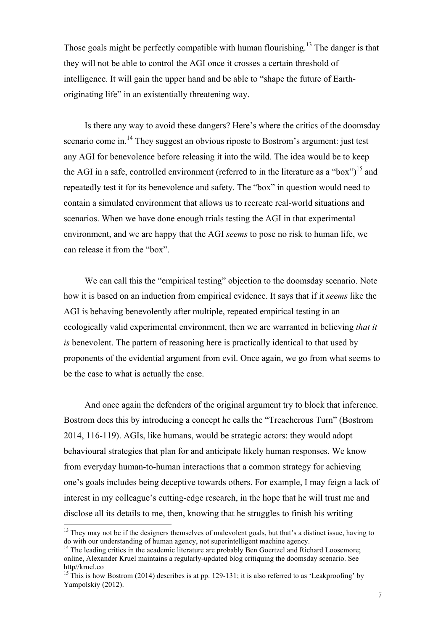Those goals might be perfectly compatible with human flourishing.<sup>13</sup> The danger is that they will not be able to control the AGI once it crosses a certain threshold of intelligence. It will gain the upper hand and be able to "shape the future of Earthoriginating life" in an existentially threatening way.

Is there any way to avoid these dangers? Here's where the critics of the doomsday scenario come in.<sup>14</sup> They suggest an obvious riposte to Bostrom's argument: just test any AGI for benevolence before releasing it into the wild. The idea would be to keep the AGI in a safe, controlled environment (referred to in the literature as a "box")<sup>15</sup> and repeatedly test it for its benevolence and safety. The "box" in question would need to contain a simulated environment that allows us to recreate real-world situations and scenarios. When we have done enough trials testing the AGI in that experimental environment, and we are happy that the AGI *seems* to pose no risk to human life, we can release it from the "box".

We can call this the "empirical testing" objection to the doomsday scenario. Note how it is based on an induction from empirical evidence. It says that if it *seems* like the AGI is behaving benevolently after multiple, repeated empirical testing in an ecologically valid experimental environment, then we are warranted in believing *that it is* benevolent. The pattern of reasoning here is practically identical to that used by proponents of the evidential argument from evil. Once again, we go from what seems to be the case to what is actually the case.

And once again the defenders of the original argument try to block that inference. Bostrom does this by introducing a concept he calls the "Treacherous Turn" (Bostrom 2014, 116-119). AGIs, like humans, would be strategic actors: they would adopt behavioural strategies that plan for and anticipate likely human responses. We know from everyday human-to-human interactions that a common strategy for achieving one's goals includes being deceptive towards others. For example, I may feign a lack of interest in my colleague's cutting-edge research, in the hope that he will trust me and disclose all its details to me, then, knowing that he struggles to finish his writing

 $13$  They may not be if the designers themselves of malevolent goals, but that's a distinct issue, having to do with our understanding of human agency, not superintelligent machine agency.

<sup>&</sup>lt;sup>14</sup> The leading critics in the academic literature are probably Ben Goertzel and Richard Loosemore; online, Alexander Kruel maintains a regularly-updated blog critiquing the doomsday scenario. See http//kruel.co

<sup>&</sup>lt;sup>15</sup> This is how Bostrom (2014) describes is at pp. 129-131; it is also referred to as 'Leakproofing' by Yampolskiy (2012).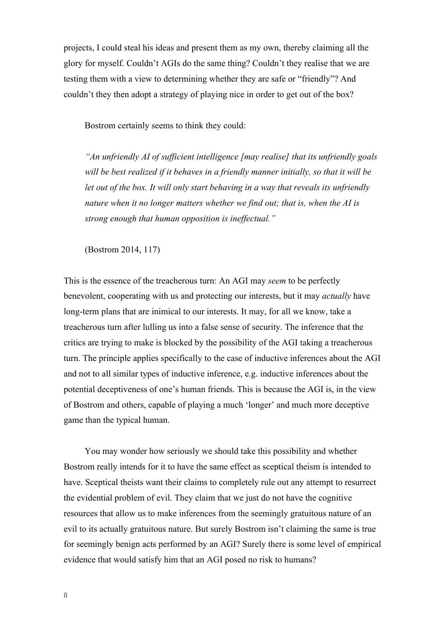projects, I could steal his ideas and present them as my own, thereby claiming all the glory for myself. Couldn't AGIs do the same thing? Couldn't they realise that we are testing them with a view to determining whether they are safe or "friendly"? And couldn't they then adopt a strategy of playing nice in order to get out of the box?

Bostrom certainly seems to think they could:

*"An unfriendly AI of sufficient intelligence [may realise] that its unfriendly goals will be best realized if it behaves in a friendly manner initially, so that it will be let out of the box. It will only start behaving in a way that reveals its unfriendly nature when it no longer matters whether we find out; that is, when the AI is strong enough that human opposition is ineffectual."*

(Bostrom 2014, 117)

This is the essence of the treacherous turn: An AGI may *seem* to be perfectly benevolent, cooperating with us and protecting our interests, but it may *actually* have long-term plans that are inimical to our interests. It may, for all we know, take a treacherous turn after lulling us into a false sense of security. The inference that the critics are trying to make is blocked by the possibility of the AGI taking a treacherous turn. The principle applies specifically to the case of inductive inferences about the AGI and not to all similar types of inductive inference, e.g. inductive inferences about the potential deceptiveness of one's human friends. This is because the AGI is, in the view of Bostrom and others, capable of playing a much 'longer' and much more deceptive game than the typical human.

You may wonder how seriously we should take this possibility and whether Bostrom really intends for it to have the same effect as sceptical theism is intended to have. Sceptical theists want their claims to completely rule out any attempt to resurrect the evidential problem of evil. They claim that we just do not have the cognitive resources that allow us to make inferences from the seemingly gratuitous nature of an evil to its actually gratuitous nature. But surely Bostrom isn't claiming the same is true for seemingly benign acts performed by an AGI? Surely there is some level of empirical evidence that would satisfy him that an AGI posed no risk to humans?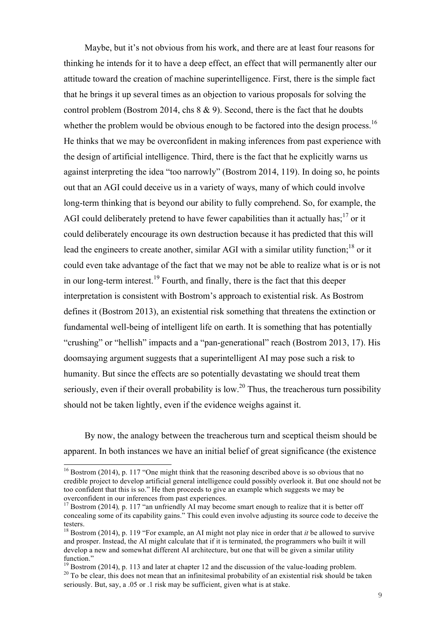Maybe, but it's not obvious from his work, and there are at least four reasons for thinking he intends for it to have a deep effect, an effect that will permanently alter our attitude toward the creation of machine superintelligence. First, there is the simple fact that he brings it up several times as an objection to various proposals for solving the control problem (Bostrom 2014, chs 8 & 9). Second, there is the fact that he doubts whether the problem would be obvious enough to be factored into the design process.<sup>16</sup> He thinks that we may be overconfident in making inferences from past experience with the design of artificial intelligence. Third, there is the fact that he explicitly warns us against interpreting the idea "too narrowly" (Bostrom 2014, 119). In doing so, he points out that an AGI could deceive us in a variety of ways, many of which could involve long-term thinking that is beyond our ability to fully comprehend. So, for example, the AGI could deliberately pretend to have fewer capabilities than it actually has;  $17$  or it could deliberately encourage its own destruction because it has predicted that this will lead the engineers to create another, similar AGI with a similar utility function;<sup>18</sup> or it could even take advantage of the fact that we may not be able to realize what is or is not in our long-term interest.<sup>19</sup> Fourth, and finally, there is the fact that this deeper interpretation is consistent with Bostrom's approach to existential risk. As Bostrom defines it (Bostrom 2013), an existential risk something that threatens the extinction or fundamental well-being of intelligent life on earth. It is something that has potentially "crushing" or "hellish" impacts and a "pan-generational" reach (Bostrom 2013, 17). His doomsaying argument suggests that a superintelligent AI may pose such a risk to humanity. But since the effects are so potentially devastating we should treat them seriously, even if their overall probability is low.<sup>20</sup> Thus, the treacherous turn possibility should not be taken lightly, even if the evidence weighs against it.

By now, the analogy between the treacherous turn and sceptical theism should be apparent. In both instances we have an initial belief of great significance (the existence

<sup>&</sup>lt;sup>16</sup> Bostrom (2014), p. 117 "One might think that the reasoning described above is so obvious that no credible project to develop artificial general intelligence could possibly overlook it. But one should not be too confident that this is so." He then proceeds to give an example which suggests we may be overconfident in our inferences from past experiences.

<sup>&</sup>lt;sup>17</sup> Bostrom (2014), p. 117 "an unfriendly AI may become smart enough to realize that it is better off concealing some of its capability gains." This could even involve adjusting its source code to deceive the testers.

<sup>18</sup> Bostrom (2014), p. 119 "For example, an AI might not play nice in order that *it* be allowed to survive and prosper. Instead, the AI might calculate that if it is terminated, the programmers who built it will develop a new and somewhat different AI architecture, but one that will be given a similar utility function."

<sup>&</sup>lt;sup>19</sup> Bostrom (2014), p. 113 and later at chapter 12 and the discussion of the value-loading problem.<br><sup>20</sup> To be clear, this does not mean that an infinitesimal probability of an existential risk should be taken seriously. But, say, a .05 or .1 risk may be sufficient, given what is at stake.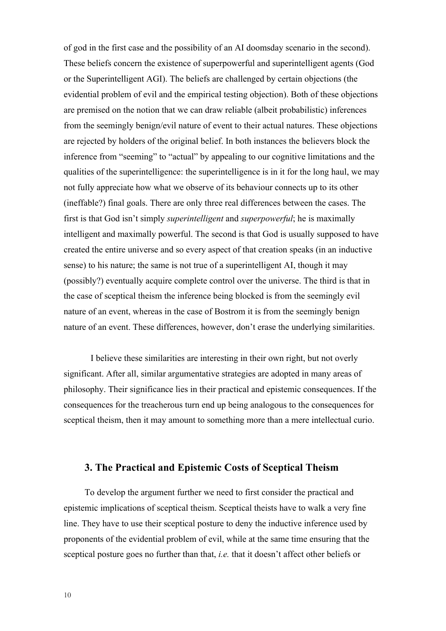of god in the first case and the possibility of an AI doomsday scenario in the second). These beliefs concern the existence of superpowerful and superintelligent agents (God or the Superintelligent AGI). The beliefs are challenged by certain objections (the evidential problem of evil and the empirical testing objection). Both of these objections are premised on the notion that we can draw reliable (albeit probabilistic) inferences from the seemingly benign/evil nature of event to their actual natures. These objections are rejected by holders of the original belief. In both instances the believers block the inference from "seeming" to "actual" by appealing to our cognitive limitations and the qualities of the superintelligence: the superintelligence is in it for the long haul, we may not fully appreciate how what we observe of its behaviour connects up to its other (ineffable?) final goals. There are only three real differences between the cases. The first is that God isn't simply *superintelligent* and *superpowerful*; he is maximally intelligent and maximally powerful. The second is that God is usually supposed to have created the entire universe and so every aspect of that creation speaks (in an inductive sense) to his nature; the same is not true of a superintelligent AI, though it may (possibly?) eventually acquire complete control over the universe. The third is that in the case of sceptical theism the inference being blocked is from the seemingly evil nature of an event, whereas in the case of Bostrom it is from the seemingly benign nature of an event. These differences, however, don't erase the underlying similarities.

I believe these similarities are interesting in their own right, but not overly significant. After all, similar argumentative strategies are adopted in many areas of philosophy. Their significance lies in their practical and epistemic consequences. If the consequences for the treacherous turn end up being analogous to the consequences for sceptical theism, then it may amount to something more than a mere intellectual curio.

#### **3. The Practical and Epistemic Costs of Sceptical Theism**

To develop the argument further we need to first consider the practical and epistemic implications of sceptical theism. Sceptical theists have to walk a very fine line. They have to use their sceptical posture to deny the inductive inference used by proponents of the evidential problem of evil, while at the same time ensuring that the sceptical posture goes no further than that, *i.e.* that it doesn't affect other beliefs or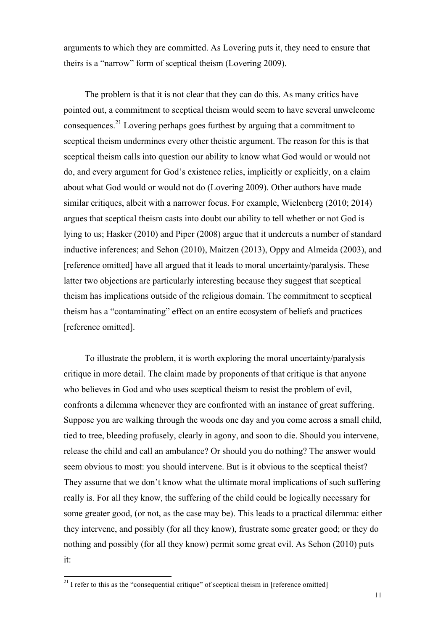arguments to which they are committed. As Lovering puts it, they need to ensure that theirs is a "narrow" form of sceptical theism (Lovering 2009).

The problem is that it is not clear that they can do this. As many critics have pointed out, a commitment to sceptical theism would seem to have several unwelcome consequences.21 Lovering perhaps goes furthest by arguing that a commitment to sceptical theism undermines every other theistic argument. The reason for this is that sceptical theism calls into question our ability to know what God would or would not do, and every argument for God's existence relies, implicitly or explicitly, on a claim about what God would or would not do (Lovering 2009). Other authors have made similar critiques, albeit with a narrower focus. For example, Wielenberg (2010; 2014) argues that sceptical theism casts into doubt our ability to tell whether or not God is lying to us; Hasker (2010) and Piper (2008) argue that it undercuts a number of standard inductive inferences; and Sehon (2010), Maitzen (2013), Oppy and Almeida (2003), and [reference omitted] have all argued that it leads to moral uncertainty/paralysis. These latter two objections are particularly interesting because they suggest that sceptical theism has implications outside of the religious domain. The commitment to sceptical theism has a "contaminating" effect on an entire ecosystem of beliefs and practices [reference omitted].

To illustrate the problem, it is worth exploring the moral uncertainty/paralysis critique in more detail. The claim made by proponents of that critique is that anyone who believes in God and who uses sceptical theism to resist the problem of evil, confronts a dilemma whenever they are confronted with an instance of great suffering. Suppose you are walking through the woods one day and you come across a small child, tied to tree, bleeding profusely, clearly in agony, and soon to die. Should you intervene, release the child and call an ambulance? Or should you do nothing? The answer would seem obvious to most: you should intervene. But is it obvious to the sceptical theist? They assume that we don't know what the ultimate moral implications of such suffering really is. For all they know, the suffering of the child could be logically necessary for some greater good, (or not, as the case may be). This leads to a practical dilemma: either they intervene, and possibly (for all they know), frustrate some greater good; or they do nothing and possibly (for all they know) permit some great evil. As Sehon (2010) puts it:

 $21$  I refer to this as the "consequential critique" of sceptical theism in [reference omitted]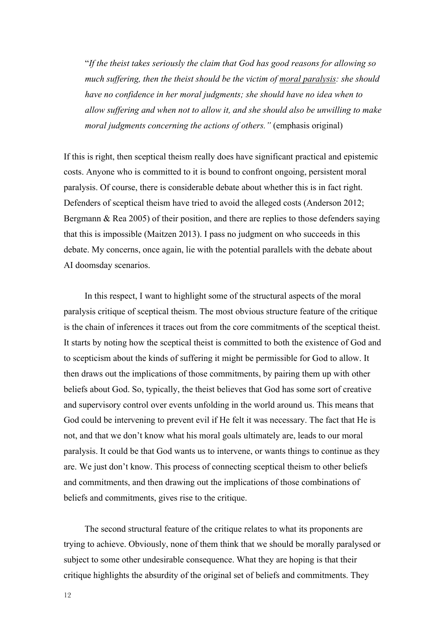"*If the theist takes seriously the claim that God has good reasons for allowing so much suffering, then the theist should be the victim of moral paralysis: she should have no confidence in her moral judgments; she should have no idea when to allow suffering and when not to allow it, and she should also be unwilling to make moral judgments concerning the actions of others."* (emphasis original)

If this is right, then sceptical theism really does have significant practical and epistemic costs. Anyone who is committed to it is bound to confront ongoing, persistent moral paralysis. Of course, there is considerable debate about whether this is in fact right. Defenders of sceptical theism have tried to avoid the alleged costs (Anderson 2012; Bergmann & Rea 2005) of their position, and there are replies to those defenders saying that this is impossible (Maitzen 2013). I pass no judgment on who succeeds in this debate. My concerns, once again, lie with the potential parallels with the debate about AI doomsday scenarios.

In this respect, I want to highlight some of the structural aspects of the moral paralysis critique of sceptical theism. The most obvious structure feature of the critique is the chain of inferences it traces out from the core commitments of the sceptical theist. It starts by noting how the sceptical theist is committed to both the existence of God and to scepticism about the kinds of suffering it might be permissible for God to allow. It then draws out the implications of those commitments, by pairing them up with other beliefs about God. So, typically, the theist believes that God has some sort of creative and supervisory control over events unfolding in the world around us. This means that God could be intervening to prevent evil if He felt it was necessary. The fact that He is not, and that we don't know what his moral goals ultimately are, leads to our moral paralysis. It could be that God wants us to intervene, or wants things to continue as they are. We just don't know. This process of connecting sceptical theism to other beliefs and commitments, and then drawing out the implications of those combinations of beliefs and commitments, gives rise to the critique.

The second structural feature of the critique relates to what its proponents are trying to achieve. Obviously, none of them think that we should be morally paralysed or subject to some other undesirable consequence. What they are hoping is that their critique highlights the absurdity of the original set of beliefs and commitments. They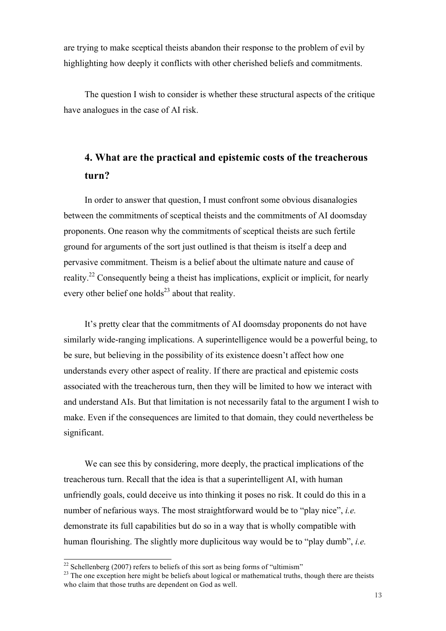are trying to make sceptical theists abandon their response to the problem of evil by highlighting how deeply it conflicts with other cherished beliefs and commitments.

The question I wish to consider is whether these structural aspects of the critique have analogues in the case of AI risk.

## **4. What are the practical and epistemic costs of the treacherous turn?**

In order to answer that question, I must confront some obvious disanalogies between the commitments of sceptical theists and the commitments of AI doomsday proponents. One reason why the commitments of sceptical theists are such fertile ground for arguments of the sort just outlined is that theism is itself a deep and pervasive commitment. Theism is a belief about the ultimate nature and cause of reality.22 Consequently being a theist has implications, explicit or implicit, for nearly every other belief one holds<sup>23</sup> about that reality.

It's pretty clear that the commitments of AI doomsday proponents do not have similarly wide-ranging implications. A superintelligence would be a powerful being, to be sure, but believing in the possibility of its existence doesn't affect how one understands every other aspect of reality. If there are practical and epistemic costs associated with the treacherous turn, then they will be limited to how we interact with and understand AIs. But that limitation is not necessarily fatal to the argument I wish to make. Even if the consequences are limited to that domain, they could nevertheless be significant.

We can see this by considering, more deeply, the practical implications of the treacherous turn. Recall that the idea is that a superintelligent AI, with human unfriendly goals, could deceive us into thinking it poses no risk. It could do this in a number of nefarious ways. The most straightforward would be to "play nice", *i.e.* demonstrate its full capabilities but do so in a way that is wholly compatible with human flourishing. The slightly more duplicitous way would be to "play dumb", *i.e.*

 $\frac{22}{2}$  Schellenberg (2007) refers to beliefs of this sort as being forms of "ultimism"

 $^{23}$  The one exception here might be beliefs about logical or mathematical truths, though there are theists who claim that those truths are dependent on God as well.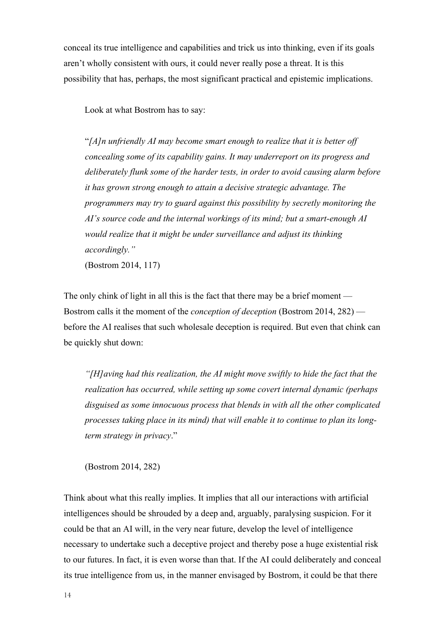conceal its true intelligence and capabilities and trick us into thinking, even if its goals aren't wholly consistent with ours, it could never really pose a threat. It is this possibility that has, perhaps, the most significant practical and epistemic implications.

Look at what Bostrom has to say:

"*[A]n unfriendly AI may become smart enough to realize that it is better off concealing some of its capability gains. It may underreport on its progress and deliberately flunk some of the harder tests, in order to avoid causing alarm before it has grown strong enough to attain a decisive strategic advantage. The programmers may try to guard against this possibility by secretly monitoring the AI's source code and the internal workings of its mind; but a smart-enough AI would realize that it might be under surveillance and adjust its thinking accordingly."*

(Bostrom 2014, 117)

The only chink of light in all this is the fact that there may be a brief moment — Bostrom calls it the moment of the *conception of deception* (Bostrom 2014, 282) before the AI realises that such wholesale deception is required. But even that chink can be quickly shut down:

*"[H]aving had this realization, the AI might move swiftly to hide the fact that the realization has occurred, while setting up some covert internal dynamic (perhaps disguised as some innocuous process that blends in with all the other complicated processes taking place in its mind) that will enable it to continue to plan its longterm strategy in privacy*."

(Bostrom 2014, 282)

Think about what this really implies. It implies that all our interactions with artificial intelligences should be shrouded by a deep and, arguably, paralysing suspicion. For it could be that an AI will, in the very near future, develop the level of intelligence necessary to undertake such a deceptive project and thereby pose a huge existential risk to our futures. In fact, it is even worse than that. If the AI could deliberately and conceal its true intelligence from us, in the manner envisaged by Bostrom, it could be that there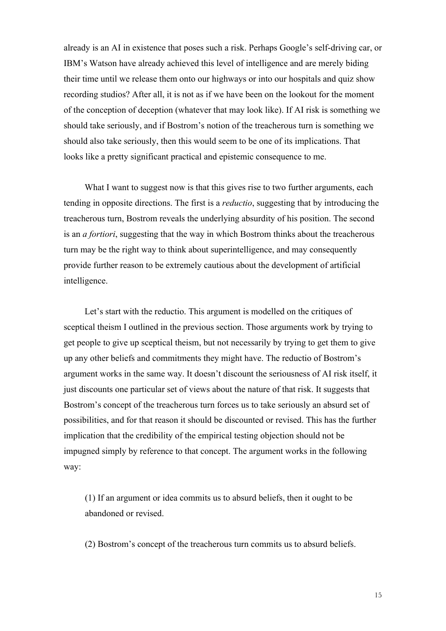already is an AI in existence that poses such a risk. Perhaps Google's self-driving car, or IBM's Watson have already achieved this level of intelligence and are merely biding their time until we release them onto our highways or into our hospitals and quiz show recording studios? After all, it is not as if we have been on the lookout for the moment of the conception of deception (whatever that may look like). If AI risk is something we should take seriously, and if Bostrom's notion of the treacherous turn is something we should also take seriously, then this would seem to be one of its implications. That looks like a pretty significant practical and epistemic consequence to me.

What I want to suggest now is that this gives rise to two further arguments, each tending in opposite directions. The first is a *reductio*, suggesting that by introducing the treacherous turn, Bostrom reveals the underlying absurdity of his position. The second is an *a fortiori*, suggesting that the way in which Bostrom thinks about the treacherous turn may be the right way to think about superintelligence, and may consequently provide further reason to be extremely cautious about the development of artificial intelligence.

Let's start with the reductio. This argument is modelled on the critiques of sceptical theism I outlined in the previous section. Those arguments work by trying to get people to give up sceptical theism, but not necessarily by trying to get them to give up any other beliefs and commitments they might have. The reductio of Bostrom's argument works in the same way. It doesn't discount the seriousness of AI risk itself, it just discounts one particular set of views about the nature of that risk. It suggests that Bostrom's concept of the treacherous turn forces us to take seriously an absurd set of possibilities, and for that reason it should be discounted or revised. This has the further implication that the credibility of the empirical testing objection should not be impugned simply by reference to that concept. The argument works in the following way:

(1) If an argument or idea commits us to absurd beliefs, then it ought to be abandoned or revised.

(2) Bostrom's concept of the treacherous turn commits us to absurd beliefs.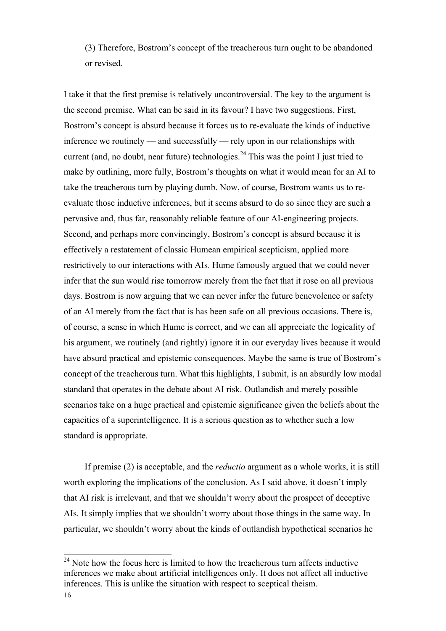(3) Therefore, Bostrom's concept of the treacherous turn ought to be abandoned or revised.

I take it that the first premise is relatively uncontroversial. The key to the argument is the second premise. What can be said in its favour? I have two suggestions. First, Bostrom's concept is absurd because it forces us to re-evaluate the kinds of inductive inference we routinely — and successfully — rely upon in our relationships with current (and, no doubt, near future) technologies.<sup>24</sup> This was the point I just tried to make by outlining, more fully, Bostrom's thoughts on what it would mean for an AI to take the treacherous turn by playing dumb. Now, of course, Bostrom wants us to reevaluate those inductive inferences, but it seems absurd to do so since they are such a pervasive and, thus far, reasonably reliable feature of our AI-engineering projects. Second, and perhaps more convincingly, Bostrom's concept is absurd because it is effectively a restatement of classic Humean empirical scepticism, applied more restrictively to our interactions with AIs. Hume famously argued that we could never infer that the sun would rise tomorrow merely from the fact that it rose on all previous days. Bostrom is now arguing that we can never infer the future benevolence or safety of an AI merely from the fact that is has been safe on all previous occasions. There is, of course, a sense in which Hume is correct, and we can all appreciate the logicality of his argument, we routinely (and rightly) ignore it in our everyday lives because it would have absurd practical and epistemic consequences. Maybe the same is true of Bostrom's concept of the treacherous turn. What this highlights, I submit, is an absurdly low modal standard that operates in the debate about AI risk. Outlandish and merely possible scenarios take on a huge practical and epistemic significance given the beliefs about the capacities of a superintelligence. It is a serious question as to whether such a low standard is appropriate.

If premise (2) is acceptable, and the *reductio* argument as a whole works, it is still worth exploring the implications of the conclusion. As I said above, it doesn't imply that AI risk is irrelevant, and that we shouldn't worry about the prospect of deceptive AIs. It simply implies that we shouldn't worry about those things in the same way. In particular, we shouldn't worry about the kinds of outlandish hypothetical scenarios he

 $24$  Note how the focus here is limited to how the treacherous turn affects inductive inferences we make about artificial intelligences only. It does not affect all inductive inferences. This is unlike the situation with respect to sceptical theism.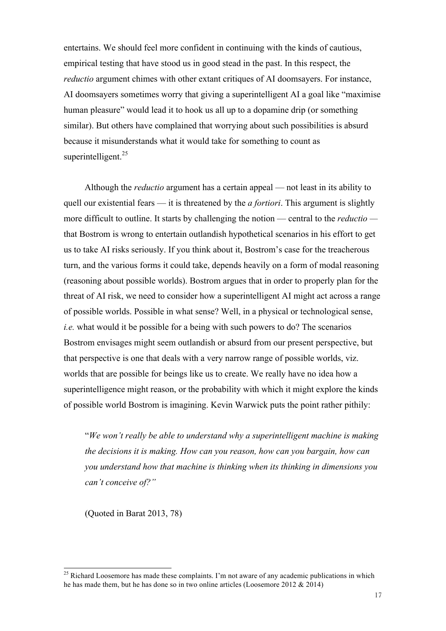entertains. We should feel more confident in continuing with the kinds of cautious, empirical testing that have stood us in good stead in the past. In this respect, the *reductio* argument chimes with other extant critiques of AI doomsayers. For instance, AI doomsayers sometimes worry that giving a superintelligent AI a goal like "maximise human pleasure" would lead it to hook us all up to a dopamine drip (or something similar). But others have complained that worrying about such possibilities is absurd because it misunderstands what it would take for something to count as superintelligent. $25$ 

Although the *reductio* argument has a certain appeal — not least in its ability to quell our existential fears — it is threatened by the *a fortiori*. This argument is slightly more difficult to outline. It starts by challenging the notion — central to the *reductio*  that Bostrom is wrong to entertain outlandish hypothetical scenarios in his effort to get us to take AI risks seriously. If you think about it, Bostrom's case for the treacherous turn, and the various forms it could take, depends heavily on a form of modal reasoning (reasoning about possible worlds). Bostrom argues that in order to properly plan for the threat of AI risk, we need to consider how a superintelligent AI might act across a range of possible worlds. Possible in what sense? Well, in a physical or technological sense, *i.e.* what would it be possible for a being with such powers to do? The scenarios Bostrom envisages might seem outlandish or absurd from our present perspective, but that perspective is one that deals with a very narrow range of possible worlds, viz. worlds that are possible for beings like us to create. We really have no idea how a superintelligence might reason, or the probability with which it might explore the kinds of possible world Bostrom is imagining. Kevin Warwick puts the point rather pithily:

"*We won't really be able to understand why a superintelligent machine is making the decisions it is making. How can you reason, how can you bargain, how can you understand how that machine is thinking when its thinking in dimensions you can't conceive of?"*

(Quoted in Barat 2013, 78)

<sup>&</sup>lt;sup>25</sup> Richard Loosemore has made these complaints. I'm not aware of any academic publications in which he has made them, but he has done so in two online articles (Loosemore 2012  $& 2014$ )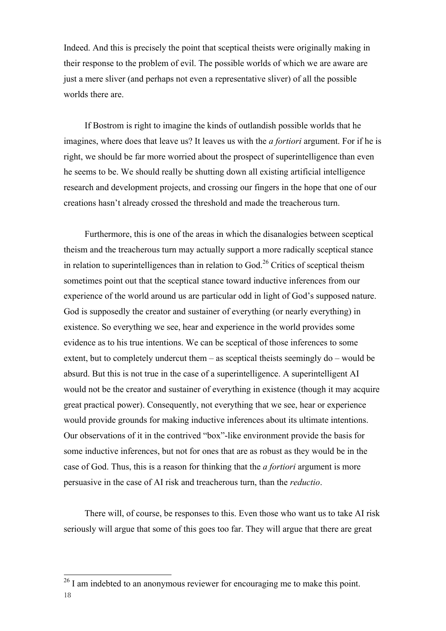Indeed. And this is precisely the point that sceptical theists were originally making in their response to the problem of evil. The possible worlds of which we are aware are just a mere sliver (and perhaps not even a representative sliver) of all the possible worlds there are.

If Bostrom is right to imagine the kinds of outlandish possible worlds that he imagines, where does that leave us? It leaves us with the *a fortiori* argument. For if he is right, we should be far more worried about the prospect of superintelligence than even he seems to be. We should really be shutting down all existing artificial intelligence research and development projects, and crossing our fingers in the hope that one of our creations hasn't already crossed the threshold and made the treacherous turn.

Furthermore, this is one of the areas in which the disanalogies between sceptical theism and the treacherous turn may actually support a more radically sceptical stance in relation to superintelligences than in relation to  $God.<sup>26</sup>$  Critics of sceptical theism sometimes point out that the sceptical stance toward inductive inferences from our experience of the world around us are particular odd in light of God's supposed nature. God is supposedly the creator and sustainer of everything (or nearly everything) in existence. So everything we see, hear and experience in the world provides some evidence as to his true intentions. We can be sceptical of those inferences to some extent, but to completely undercut them – as sceptical theists seemingly do – would be absurd. But this is not true in the case of a superintelligence. A superintelligent AI would not be the creator and sustainer of everything in existence (though it may acquire great practical power). Consequently, not everything that we see, hear or experience would provide grounds for making inductive inferences about its ultimate intentions. Our observations of it in the contrived "box"-like environment provide the basis for some inductive inferences, but not for ones that are as robust as they would be in the case of God. Thus, this is a reason for thinking that the *a fortiori* argument is more persuasive in the case of AI risk and treacherous turn, than the *reductio*.

There will, of course, be responses to this. Even those who want us to take AI risk seriously will argue that some of this goes too far. They will argue that there are great

<sup>18</sup> <sup>26</sup> I am indebted to an anonymous reviewer for encouraging me to make this point.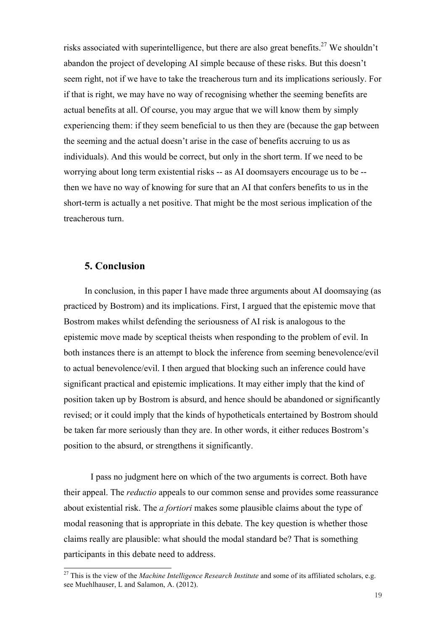risks associated with superintelligence, but there are also great benefits.<sup>27</sup> We shouldn't abandon the project of developing AI simple because of these risks. But this doesn't seem right, not if we have to take the treacherous turn and its implications seriously. For if that is right, we may have no way of recognising whether the seeming benefits are actual benefits at all. Of course, you may argue that we will know them by simply experiencing them: if they seem beneficial to us then they are (because the gap between the seeming and the actual doesn't arise in the case of benefits accruing to us as individuals). And this would be correct, but only in the short term. If we need to be worrying about long term existential risks -- as AI doomsayers encourage us to be - then we have no way of knowing for sure that an AI that confers benefits to us in the short-term is actually a net positive. That might be the most serious implication of the treacherous turn.

#### **5. Conclusion**

In conclusion, in this paper I have made three arguments about AI doomsaying (as practiced by Bostrom) and its implications. First, I argued that the epistemic move that Bostrom makes whilst defending the seriousness of AI risk is analogous to the epistemic move made by sceptical theists when responding to the problem of evil. In both instances there is an attempt to block the inference from seeming benevolence/evil to actual benevolence/evil. I then argued that blocking such an inference could have significant practical and epistemic implications. It may either imply that the kind of position taken up by Bostrom is absurd, and hence should be abandoned or significantly revised; or it could imply that the kinds of hypotheticals entertained by Bostrom should be taken far more seriously than they are. In other words, it either reduces Bostrom's position to the absurd, or strengthens it significantly.

I pass no judgment here on which of the two arguments is correct. Both have their appeal. The *reductio* appeals to our common sense and provides some reassurance about existential risk. The *a fortiori* makes some plausible claims about the type of modal reasoning that is appropriate in this debate. The key question is whether those claims really are plausible: what should the modal standard be? That is something participants in this debate need to address.

<sup>&</sup>lt;sup>27</sup> This is the view of the *Machine Intelligence Research Institute* and some of its affiliated scholars, e.g. see Muehlhauser, L and Salamon, A. (2012).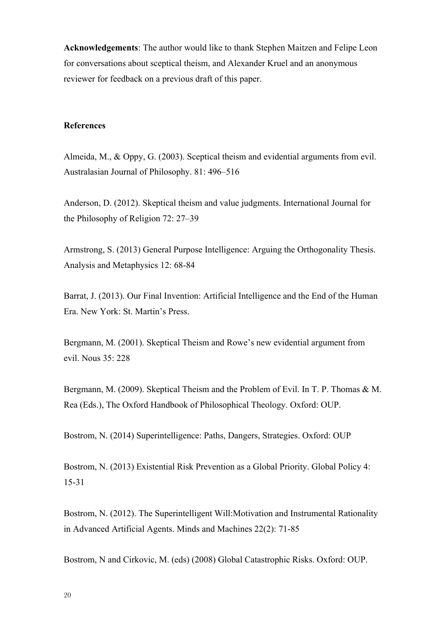**Acknowledgements**: The author would like to thank Stephen Maitzen and Felipe Leon for conversations about sceptical theism, and Alexander Kruel and an anonymous reviewer for feedback on a previous draft of this paper.

#### **References**

Almeida, M., & Oppy, G. (2003). Sceptical theism and evidential arguments from evil. Australasian Journal of Philosophy. 81: 496–516

Anderson, D. (2012). Skeptical theism and value judgments. International Journal for the Philosophy of Religion 72: 27–39

Armstrong, S. (2013) General Purpose Intelligence: Arguing the Orthogonality Thesis. Analysis and Metaphysics 12: 68-84

Barrat, J. (2013). Our Final Invention: Artificial Intelligence and the End of the Human Era. New York: St. Martin's Press.

Bergmann, M. (2001). Skeptical Theism and Rowe's new evidential argument from evil. Nous 35: 228

Bergmann, M. (2009). Skeptical Theism and the Problem of Evil. In T. P. Thomas & M. Rea (Eds.), The Oxford Handbook of Philosophical Theology. Oxford: OUP.

Bostrom, N. (2014) Superintelligence: Paths, Dangers, Strategies. Oxford: OUP

Bostrom, N. (2013) Existential Risk Prevention as a Global Priority. Global Policy 4: 15-31

Bostrom, N. (2012). The Superintelligent Will:Motivation and Instrumental Rationality in Advanced Artificial Agents. Minds and Machines 22(2): 71-85

Bostrom, N and Cirkovic, M. (eds) (2008) Global Catastrophic Risks. Oxford: OUP.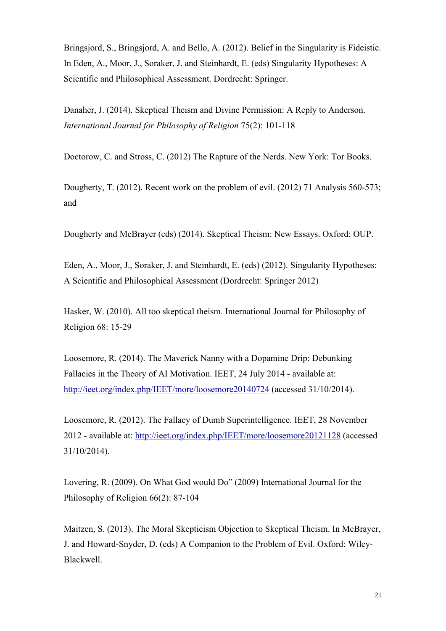Bringsjord, S., Bringsjord, A. and Bello, A. (2012). Belief in the Singularity is Fideistic. In Eden, A., Moor, J., Soraker, J. and Steinhardt, E. (eds) Singularity Hypotheses: A Scientific and Philosophical Assessment. Dordrecht: Springer.

Danaher, J. (2014). Skeptical Theism and Divine Permission: A Reply to Anderson. *International Journal for Philosophy of Religion* 75(2): 101-118

Doctorow, C. and Stross, C. (2012) The Rapture of the Nerds. New York: Tor Books.

Dougherty, T. (2012). Recent work on the problem of evil. (2012) 71 Analysis 560-573; and

Dougherty and McBrayer (eds) (2014). Skeptical Theism: New Essays. Oxford: OUP.

Eden, A., Moor, J., Soraker, J. and Steinhardt, E. (eds) (2012). Singularity Hypotheses: A Scientific and Philosophical Assessment (Dordrecht: Springer 2012)

Hasker, W. (2010). All too skeptical theism. International Journal for Philosophy of Religion 68: 15-29

Loosemore, R. (2014). The Maverick Nanny with a Dopamine Drip: Debunking Fallacies in the Theory of AI Motivation. IEET, 24 July 2014 - available at: http://ieet.org/index.php/IEET/more/loosemore20140724 (accessed 31/10/2014).

Loosemore, R. (2012). The Fallacy of Dumb Superintelligence. IEET, 28 November 2012 - available at: http://ieet.org/index.php/IEET/more/loosemore20121128 (accessed 31/10/2014).

Lovering, R. (2009). On What God would Do" (2009) International Journal for the Philosophy of Religion 66(2): 87-104

Maitzen, S. (2013). The Moral Skepticism Objection to Skeptical Theism. In McBrayer, J. and Howard-Snyder, D. (eds) A Companion to the Problem of Evil. Oxford: Wiley-Blackwell.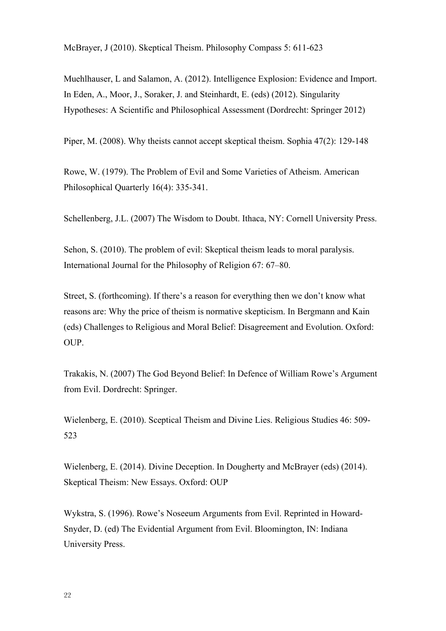McBrayer, J (2010). Skeptical Theism. Philosophy Compass 5: 611-623

Muehlhauser, L and Salamon, A. (2012). Intelligence Explosion: Evidence and Import. In Eden, A., Moor, J., Soraker, J. and Steinhardt, E. (eds) (2012). Singularity Hypotheses: A Scientific and Philosophical Assessment (Dordrecht: Springer 2012)

Piper, M. (2008). Why theists cannot accept skeptical theism. Sophia 47(2): 129-148

Rowe, W. (1979). The Problem of Evil and Some Varieties of Atheism. American Philosophical Quarterly 16(4): 335-341.

Schellenberg, J.L. (2007) The Wisdom to Doubt. Ithaca, NY: Cornell University Press.

Sehon, S. (2010). The problem of evil: Skeptical theism leads to moral paralysis. International Journal for the Philosophy of Religion 67: 67–80.

Street, S. (forthcoming). If there's a reason for everything then we don't know what reasons are: Why the price of theism is normative skepticism. In Bergmann and Kain (eds) Challenges to Religious and Moral Belief: Disagreement and Evolution. Oxford: OUP.

Trakakis, N. (2007) The God Beyond Belief: In Defence of William Rowe's Argument from Evil. Dordrecht: Springer.

Wielenberg, E. (2010). Sceptical Theism and Divine Lies. Religious Studies 46: 509- 523

Wielenberg, E. (2014). Divine Deception. In Dougherty and McBrayer (eds) (2014). Skeptical Theism: New Essays. Oxford: OUP

Wykstra, S. (1996). Rowe's Noseeum Arguments from Evil. Reprinted in Howard-Snyder, D. (ed) The Evidential Argument from Evil. Bloomington, IN: Indiana University Press.